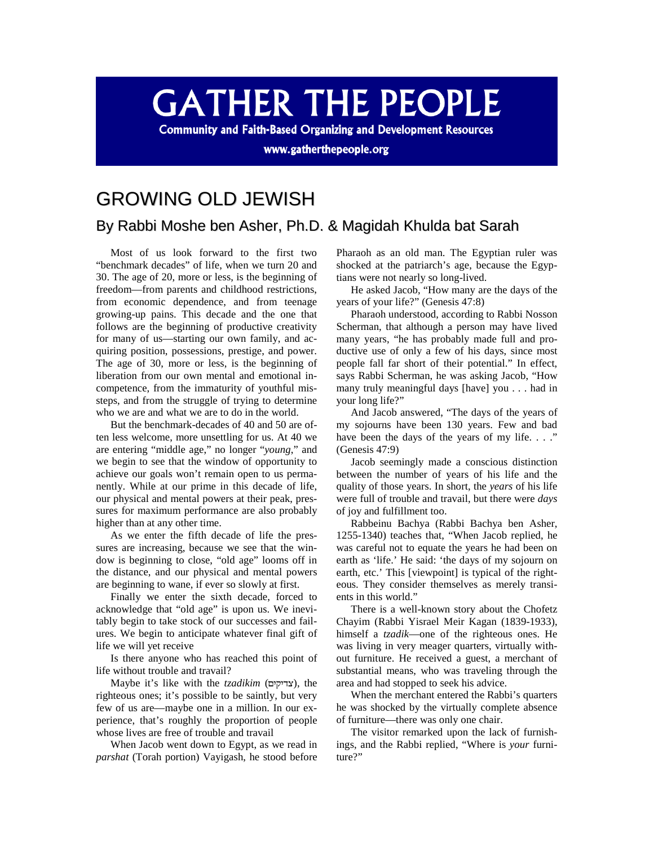## **GATHER THE PEOPLE**

**Community and Faith-Based Organizing and Development Resources** 

www.gatherthepeople.org

## GROWING OLD JEWISH

## By Rabbi Moshe ben Asher, Ph.D. & Magidah Khulda bat Sarah

Most of us look forward to the first two "benchmark decades" of life, when we turn 20 and 30. The age of 20, more or less, is the beginning of freedom—from parents and childhood restrictions, from economic dependence, and from teenage growing-up pains. This decade and the one that follows are the beginning of productive creativity for many of us—starting our own family, and acquiring position, possessions, prestige, and power. The age of 30, more or less, is the beginning of liberation from our own mental and emotional incompetence, from the immaturity of youthful missteps, and from the struggle of trying to determine who we are and what we are to do in the world.

But the benchmark-decades of 40 and 50 are often less welcome, more unsettling for us. At 40 we are entering "middle age," no longer "*young*," and we begin to see that the window of opportunity to achieve our goals won't remain open to us permanently. While at our prime in this decade of life, our physical and mental powers at their peak, pressures for maximum performance are also probably higher than at any other time.

As we enter the fifth decade of life the pressures are increasing, because we see that the window is beginning to close, "old age" looms off in the distance, and our physical and mental powers are beginning to wane, if ever so slowly at first.

Finally we enter the sixth decade, forced to acknowledge that "old age" is upon us. We inevitably begin to take stock of our successes and failures. We begin to anticipate whatever final gift of life we will yet receive

Is there anyone who has reached this point of life without trouble and travail?

Maybe it's like with the *tzadikim* (צדיקים), the righteous ones; it's possible to be saintly, but very few of us are—maybe one in a million. In our experience, that's roughly the proportion of people whose lives are free of trouble and travail

When Jacob went down to Egypt, as we read in *parshat* (Torah portion) Vayigash, he stood before

Pharaoh as an old man. The Egyptian ruler was shocked at the patriarch's age, because the Egyptians were not nearly so long-lived.

He asked Jacob, "How many are the days of the years of your life?" (Genesis 47:8)

Pharaoh understood, according to Rabbi Nosson Scherman, that although a person may have lived many years, "he has probably made full and productive use of only a few of his days, since most people fall far short of their potential." In effect, says Rabbi Scherman, he was asking Jacob, "How many truly meaningful days [have] you . . . had in your long life?"

And Jacob answered, "The days of the years of my sojourns have been 130 years. Few and bad have been the days of the years of my life.  $\ldots$ ." (Genesis 47:9)

Jacob seemingly made a conscious distinction between the number of years of his life and the quality of those years. In short, the *years* of his life were full of trouble and travail, but there were *days* of joy and fulfillment too.

Rabbeinu Bachya (Rabbi Bachya ben Asher, 1255-1340) teaches that, "When Jacob replied, he was careful not to equate the years he had been on earth as 'life.' He said: 'the days of my sojourn on earth, etc.' This [viewpoint] is typical of the righteous. They consider themselves as merely transients in this world."

There is a well-known story about the Chofetz Chayim (Rabbi Yisrael Meir Kagan (1839-1933), himself a *tzadik*—one of the righteous ones. He was living in very meager quarters, virtually without furniture. He received a guest, a merchant of substantial means, who was traveling through the area and had stopped to seek his advice.

When the merchant entered the Rabbi's quarters he was shocked by the virtually complete absence of furniture—there was only one chair.

The visitor remarked upon the lack of furnishings, and the Rabbi replied, "Where is *your* furniture?"